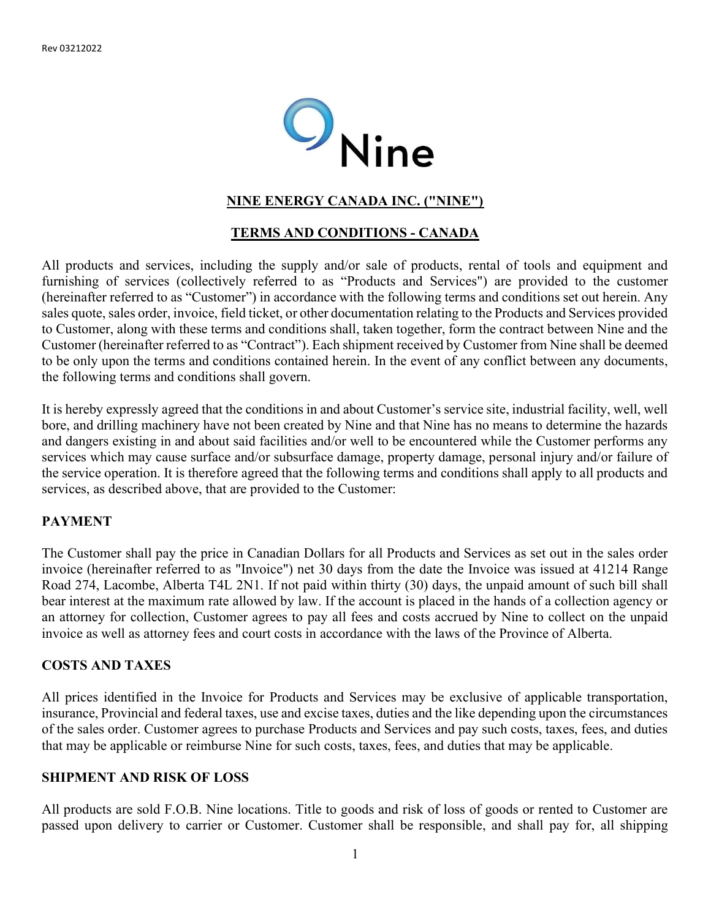

## NINE ENERGY CANADA INC. ("NINE")

## TERMS AND CONDITIONS - CANADA

All products and services, including the supply and/or sale of products, rental of tools and equipment and furnishing of services (collectively referred to as "Products and Services") are provided to the customer (hereinafter referred to as "Customer") in accordance with the following terms and conditions set out herein. Any sales quote, sales order, invoice, field ticket, or other documentation relating to the Products and Services provided to Customer, along with these terms and conditions shall, taken together, form the contract between Nine and the Customer (hereinafter referred to as "Contract"). Each shipment received by Customer from Nine shall be deemed to be only upon the terms and conditions contained herein. In the event of any conflict between any documents, the following terms and conditions shall govern.

It is hereby expressly agreed that the conditions in and about Customer's service site, industrial facility, well, well bore, and drilling machinery have not been created by Nine and that Nine has no means to determine the hazards and dangers existing in and about said facilities and/or well to be encountered while the Customer performs any services which may cause surface and/or subsurface damage, property damage, personal injury and/or failure of the service operation. It is therefore agreed that the following terms and conditions shall apply to all products and services, as described above, that are provided to the Customer:

## PAYMENT

The Customer shall pay the price in Canadian Dollars for all Products and Services as set out in the sales order invoice (hereinafter referred to as "Invoice") net 30 days from the date the Invoice was issued at 41214 Range Road 274, Lacombe, Alberta T4L 2N1. If not paid within thirty (30) days, the unpaid amount of such bill shall bear interest at the maximum rate allowed by law. If the account is placed in the hands of a collection agency or an attorney for collection, Customer agrees to pay all fees and costs accrued by Nine to collect on the unpaid invoice as well as attorney fees and court costs in accordance with the laws of the Province of Alberta.

#### COSTS AND TAXES

All prices identified in the Invoice for Products and Services may be exclusive of applicable transportation, insurance, Provincial and federal taxes, use and excise taxes, duties and the like depending upon the circumstances of the sales order. Customer agrees to purchase Products and Services and pay such costs, taxes, fees, and duties that may be applicable or reimburse Nine for such costs, taxes, fees, and duties that may be applicable.

#### SHIPMENT AND RISK OF LOSS

All products are sold F.O.B. Nine locations. Title to goods and risk of loss of goods or rented to Customer are passed upon delivery to carrier or Customer. Customer shall be responsible, and shall pay for, all shipping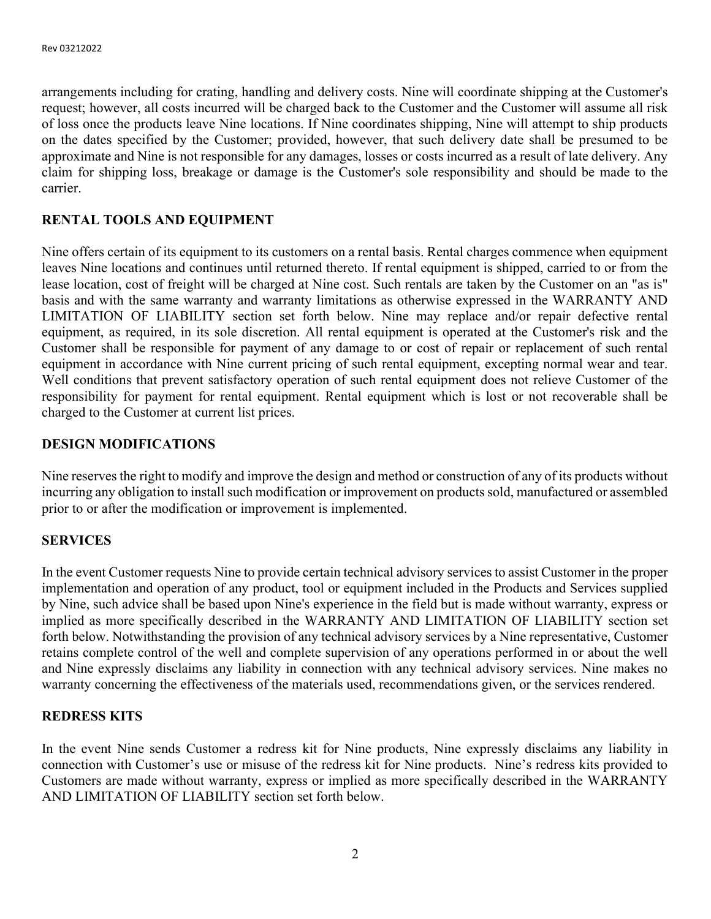arrangements including for crating, handling and delivery costs. Nine will coordinate shipping at the Customer's request; however, all costs incurred will be charged back to the Customer and the Customer will assume all risk of loss once the products leave Nine locations. If Nine coordinates shipping, Nine will attempt to ship products on the dates specified by the Customer; provided, however, that such delivery date shall be presumed to be approximate and Nine is not responsible for any damages, losses or costs incurred as a result of late delivery. Any claim for shipping loss, breakage or damage is the Customer's sole responsibility and should be made to the carrier.

# RENTAL TOOLS AND EQUIPMENT

Nine offers certain of its equipment to its customers on a rental basis. Rental charges commence when equipment leaves Nine locations and continues until returned thereto. If rental equipment is shipped, carried to or from the lease location, cost of freight will be charged at Nine cost. Such rentals are taken by the Customer on an "as is" basis and with the same warranty and warranty limitations as otherwise expressed in the WARRANTY AND LIMITATION OF LIABILITY section set forth below. Nine may replace and/or repair defective rental equipment, as required, in its sole discretion. All rental equipment is operated at the Customer's risk and the Customer shall be responsible for payment of any damage to or cost of repair or replacement of such rental equipment in accordance with Nine current pricing of such rental equipment, excepting normal wear and tear. Well conditions that prevent satisfactory operation of such rental equipment does not relieve Customer of the responsibility for payment for rental equipment. Rental equipment which is lost or not recoverable shall be charged to the Customer at current list prices.

## DESIGN MODIFICATIONS

Nine reserves the right to modify and improve the design and method or construction of any of its products without incurring any obligation to install such modification or improvement on products sold, manufactured or assembled prior to or after the modification or improvement is implemented.

## **SERVICES**

In the event Customer requests Nine to provide certain technical advisory services to assist Customer in the proper implementation and operation of any product, tool or equipment included in the Products and Services supplied by Nine, such advice shall be based upon Nine's experience in the field but is made without warranty, express or implied as more specifically described in the WARRANTY AND LIMITATION OF LIABILITY section set forth below. Notwithstanding the provision of any technical advisory services by a Nine representative, Customer retains complete control of the well and complete supervision of any operations performed in or about the well and Nine expressly disclaims any liability in connection with any technical advisory services. Nine makes no warranty concerning the effectiveness of the materials used, recommendations given, or the services rendered.

## REDRESS KITS

In the event Nine sends Customer a redress kit for Nine products, Nine expressly disclaims any liability in connection with Customer's use or misuse of the redress kit for Nine products. Nine's redress kits provided to Customers are made without warranty, express or implied as more specifically described in the WARRANTY AND LIMITATION OF LIABILITY section set forth below.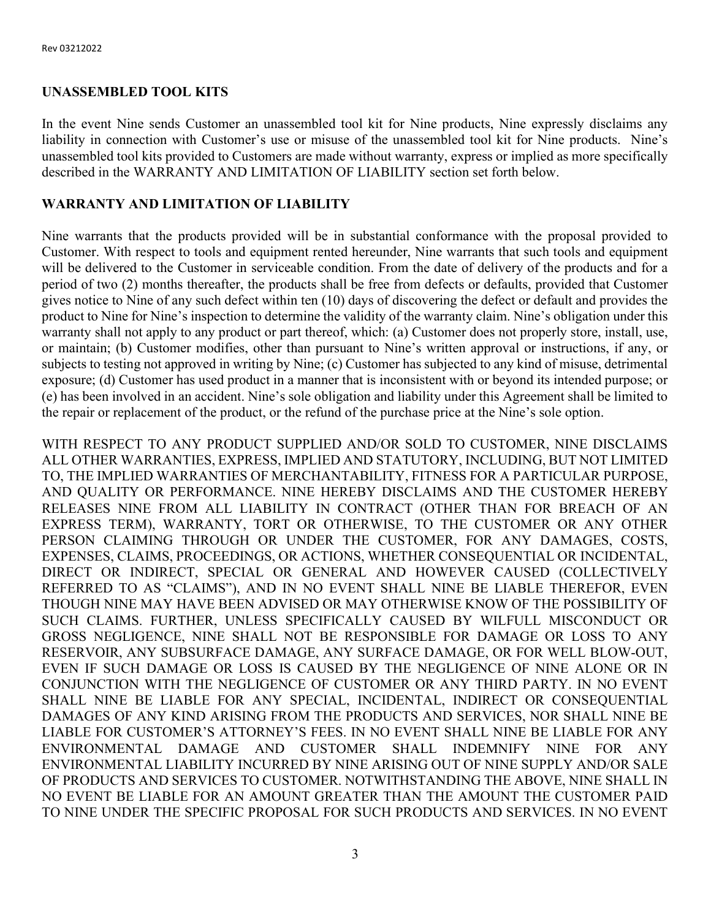## UNASSEMBLED TOOL KITS

In the event Nine sends Customer an unassembled tool kit for Nine products, Nine expressly disclaims any liability in connection with Customer's use or misuse of the unassembled tool kit for Nine products. Nine's unassembled tool kits provided to Customers are made without warranty, express or implied as more specifically described in the WARRANTY AND LIMITATION OF LIABILITY section set forth below.

## WARRANTY AND LIMITATION OF LIABILITY

Nine warrants that the products provided will be in substantial conformance with the proposal provided to Customer. With respect to tools and equipment rented hereunder, Nine warrants that such tools and equipment will be delivered to the Customer in serviceable condition. From the date of delivery of the products and for a period of two (2) months thereafter, the products shall be free from defects or defaults, provided that Customer gives notice to Nine of any such defect within ten (10) days of discovering the defect or default and provides the product to Nine for Nine's inspection to determine the validity of the warranty claim. Nine's obligation under this warranty shall not apply to any product or part thereof, which: (a) Customer does not properly store, install, use, or maintain; (b) Customer modifies, other than pursuant to Nine's written approval or instructions, if any, or subjects to testing not approved in writing by Nine; (c) Customer has subjected to any kind of misuse, detrimental exposure; (d) Customer has used product in a manner that is inconsistent with or beyond its intended purpose; or (e) has been involved in an accident. Nine's sole obligation and liability under this Agreement shall be limited to the repair or replacement of the product, or the refund of the purchase price at the Nine's sole option.

WITH RESPECT TO ANY PRODUCT SUPPLIED AND/OR SOLD TO CUSTOMER, NINE DISCLAIMS ALL OTHER WARRANTIES, EXPRESS, IMPLIED AND STATUTORY, INCLUDING, BUT NOT LIMITED TO, THE IMPLIED WARRANTIES OF MERCHANTABILITY, FITNESS FOR A PARTICULAR PURPOSE, AND QUALITY OR PERFORMANCE. NINE HEREBY DISCLAIMS AND THE CUSTOMER HEREBY RELEASES NINE FROM ALL LIABILITY IN CONTRACT (OTHER THAN FOR BREACH OF AN EXPRESS TERM), WARRANTY, TORT OR OTHERWISE, TO THE CUSTOMER OR ANY OTHER PERSON CLAIMING THROUGH OR UNDER THE CUSTOMER, FOR ANY DAMAGES, COSTS, EXPENSES, CLAIMS, PROCEEDINGS, OR ACTIONS, WHETHER CONSEQUENTIAL OR INCIDENTAL, DIRECT OR INDIRECT, SPECIAL OR GENERAL AND HOWEVER CAUSED (COLLECTIVELY REFERRED TO AS "CLAIMS"), AND IN NO EVENT SHALL NINE BE LIABLE THEREFOR, EVEN THOUGH NINE MAY HAVE BEEN ADVISED OR MAY OTHERWISE KNOW OF THE POSSIBILITY OF SUCH CLAIMS. FURTHER, UNLESS SPECIFICALLY CAUSED BY WILFULL MISCONDUCT OR GROSS NEGLIGENCE, NINE SHALL NOT BE RESPONSIBLE FOR DAMAGE OR LOSS TO ANY RESERVOIR, ANY SUBSURFACE DAMAGE, ANY SURFACE DAMAGE, OR FOR WELL BLOW-OUT, EVEN IF SUCH DAMAGE OR LOSS IS CAUSED BY THE NEGLIGENCE OF NINE ALONE OR IN CONJUNCTION WITH THE NEGLIGENCE OF CUSTOMER OR ANY THIRD PARTY. IN NO EVENT SHALL NINE BE LIABLE FOR ANY SPECIAL, INCIDENTAL, INDIRECT OR CONSEQUENTIAL DAMAGES OF ANY KIND ARISING FROM THE PRODUCTS AND SERVICES, NOR SHALL NINE BE LIABLE FOR CUSTOMER'S ATTORNEY'S FEES. IN NO EVENT SHALL NINE BE LIABLE FOR ANY ENVIRONMENTAL DAMAGE AND CUSTOMER SHALL INDEMNIFY NINE FOR ANY ENVIRONMENTAL LIABILITY INCURRED BY NINE ARISING OUT OF NINE SUPPLY AND/OR SALE OF PRODUCTS AND SERVICES TO CUSTOMER. NOTWITHSTANDING THE ABOVE, NINE SHALL IN NO EVENT BE LIABLE FOR AN AMOUNT GREATER THAN THE AMOUNT THE CUSTOMER PAID TO NINE UNDER THE SPECIFIC PROPOSAL FOR SUCH PRODUCTS AND SERVICES. IN NO EVENT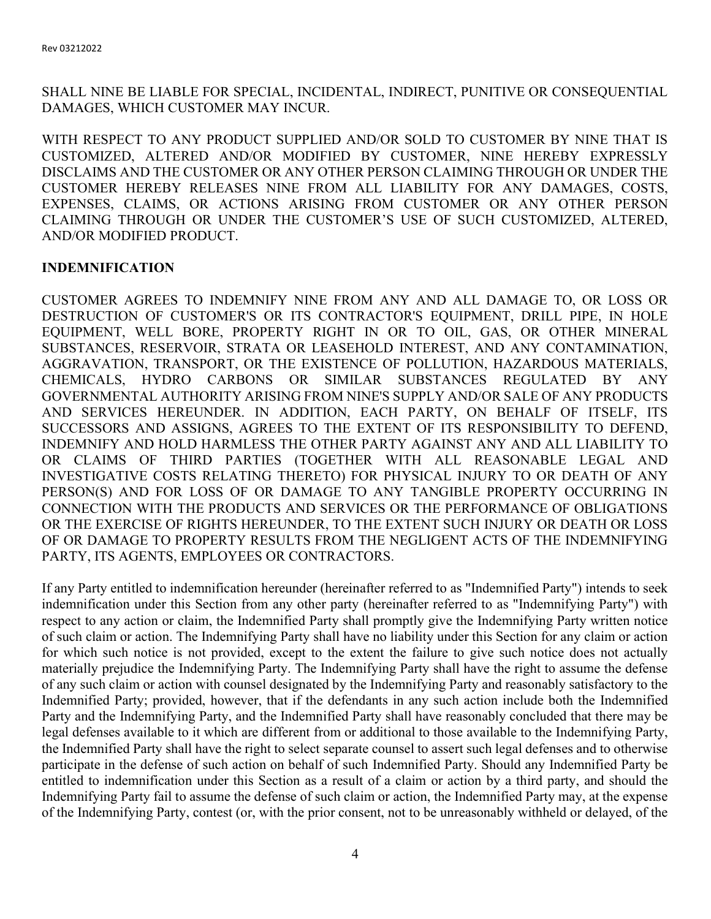SHALL NINE BE LIABLE FOR SPECIAL, INCIDENTAL, INDIRECT, PUNITIVE OR CONSEQUENTIAL DAMAGES, WHICH CUSTOMER MAY INCUR.

WITH RESPECT TO ANY PRODUCT SUPPLIED AND/OR SOLD TO CUSTOMER BY NINE THAT IS CUSTOMIZED, ALTERED AND/OR MODIFIED BY CUSTOMER, NINE HEREBY EXPRESSLY DISCLAIMS AND THE CUSTOMER OR ANY OTHER PERSON CLAIMING THROUGH OR UNDER THE CUSTOMER HEREBY RELEASES NINE FROM ALL LIABILITY FOR ANY DAMAGES, COSTS, EXPENSES, CLAIMS, OR ACTIONS ARISING FROM CUSTOMER OR ANY OTHER PERSON CLAIMING THROUGH OR UNDER THE CUSTOMER'S USE OF SUCH CUSTOMIZED, ALTERED, AND/OR MODIFIED PRODUCT.

## INDEMNIFICATION

CUSTOMER AGREES TO INDEMNIFY NINE FROM ANY AND ALL DAMAGE TO, OR LOSS OR DESTRUCTION OF CUSTOMER'S OR ITS CONTRACTOR'S EQUIPMENT, DRILL PIPE, IN HOLE EQUIPMENT, WELL BORE, PROPERTY RIGHT IN OR TO OIL, GAS, OR OTHER MINERAL SUBSTANCES, RESERVOIR, STRATA OR LEASEHOLD INTEREST, AND ANY CONTAMINATION, AGGRAVATION, TRANSPORT, OR THE EXISTENCE OF POLLUTION, HAZARDOUS MATERIALS, CHEMICALS, HYDRO CARBONS OR SIMILAR SUBSTANCES REGULATED BY ANY GOVERNMENTAL AUTHORITY ARISING FROM NINE'S SUPPLY AND/OR SALE OF ANY PRODUCTS AND SERVICES HEREUNDER. IN ADDITION, EACH PARTY, ON BEHALF OF ITSELF, ITS SUCCESSORS AND ASSIGNS, AGREES TO THE EXTENT OF ITS RESPONSIBILITY TO DEFEND, INDEMNIFY AND HOLD HARMLESS THE OTHER PARTY AGAINST ANY AND ALL LIABILITY TO OR CLAIMS OF THIRD PARTIES (TOGETHER WITH ALL REASONABLE LEGAL AND INVESTIGATIVE COSTS RELATING THERETO) FOR PHYSICAL INJURY TO OR DEATH OF ANY PERSON(S) AND FOR LOSS OF OR DAMAGE TO ANY TANGIBLE PROPERTY OCCURRING IN CONNECTION WITH THE PRODUCTS AND SERVICES OR THE PERFORMANCE OF OBLIGATIONS OR THE EXERCISE OF RIGHTS HEREUNDER, TO THE EXTENT SUCH INJURY OR DEATH OR LOSS OF OR DAMAGE TO PROPERTY RESULTS FROM THE NEGLIGENT ACTS OF THE INDEMNIFYING PARTY, ITS AGENTS, EMPLOYEES OR CONTRACTORS.

If any Party entitled to indemnification hereunder (hereinafter referred to as "Indemnified Party") intends to seek indemnification under this Section from any other party (hereinafter referred to as "Indemnifying Party") with respect to any action or claim, the Indemnified Party shall promptly give the Indemnifying Party written notice of such claim or action. The Indemnifying Party shall have no liability under this Section for any claim or action for which such notice is not provided, except to the extent the failure to give such notice does not actually materially prejudice the Indemnifying Party. The Indemnifying Party shall have the right to assume the defense of any such claim or action with counsel designated by the Indemnifying Party and reasonably satisfactory to the Indemnified Party; provided, however, that if the defendants in any such action include both the Indemnified Party and the Indemnifying Party, and the Indemnified Party shall have reasonably concluded that there may be legal defenses available to it which are different from or additional to those available to the Indemnifying Party, the Indemnified Party shall have the right to select separate counsel to assert such legal defenses and to otherwise participate in the defense of such action on behalf of such Indemnified Party. Should any Indemnified Party be entitled to indemnification under this Section as a result of a claim or action by a third party, and should the Indemnifying Party fail to assume the defense of such claim or action, the Indemnified Party may, at the expense of the Indemnifying Party, contest (or, with the prior consent, not to be unreasonably withheld or delayed, of the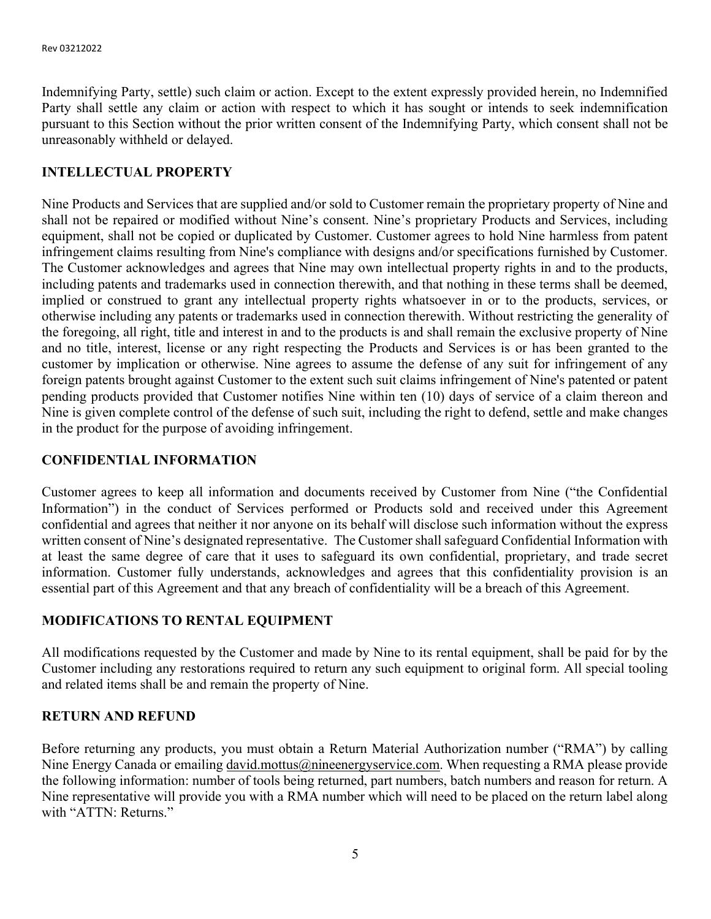Indemnifying Party, settle) such claim or action. Except to the extent expressly provided herein, no Indemnified Party shall settle any claim or action with respect to which it has sought or intends to seek indemnification pursuant to this Section without the prior written consent of the Indemnifying Party, which consent shall not be unreasonably withheld or delayed.

## INTELLECTUAL PROPERTY

Nine Products and Services that are supplied and/or sold to Customer remain the proprietary property of Nine and shall not be repaired or modified without Nine's consent. Nine's proprietary Products and Services, including equipment, shall not be copied or duplicated by Customer. Customer agrees to hold Nine harmless from patent infringement claims resulting from Nine's compliance with designs and/or specifications furnished by Customer. The Customer acknowledges and agrees that Nine may own intellectual property rights in and to the products, including patents and trademarks used in connection therewith, and that nothing in these terms shall be deemed, implied or construed to grant any intellectual property rights whatsoever in or to the products, services, or otherwise including any patents or trademarks used in connection therewith. Without restricting the generality of the foregoing, all right, title and interest in and to the products is and shall remain the exclusive property of Nine and no title, interest, license or any right respecting the Products and Services is or has been granted to the customer by implication or otherwise. Nine agrees to assume the defense of any suit for infringement of any foreign patents brought against Customer to the extent such suit claims infringement of Nine's patented or patent pending products provided that Customer notifies Nine within ten (10) days of service of a claim thereon and Nine is given complete control of the defense of such suit, including the right to defend, settle and make changes in the product for the purpose of avoiding infringement.

## CONFIDENTIAL INFORMATION

Customer agrees to keep all information and documents received by Customer from Nine ("the Confidential Information") in the conduct of Services performed or Products sold and received under this Agreement confidential and agrees that neither it nor anyone on its behalf will disclose such information without the express written consent of Nine's designated representative. The Customer shall safeguard Confidential Information with at least the same degree of care that it uses to safeguard its own confidential, proprietary, and trade secret information. Customer fully understands, acknowledges and agrees that this confidentiality provision is an essential part of this Agreement and that any breach of confidentiality will be a breach of this Agreement.

## MODIFICATIONS TO RENTAL EQUIPMENT

All modifications requested by the Customer and made by Nine to its rental equipment, shall be paid for by the Customer including any restorations required to return any such equipment to original form. All special tooling and related items shall be and remain the property of Nine.

## RETURN AND REFUND

Before returning any products, you must obtain a Return Material Authorization number ("RMA") by calling Nine Energy Canada or emailing david.mottus@nineenergyservice.com. When requesting a RMA please provide the following information: number of tools being returned, part numbers, batch numbers and reason for return. A Nine representative will provide you with a RMA number which will need to be placed on the return label along with "ATTN: Returns."